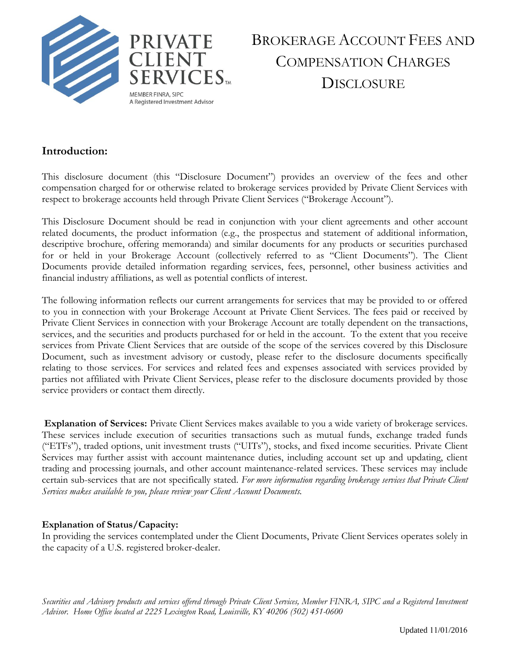

# BROKERAGE ACCOUNT FEES AND COMPENSATION CHARGES **DISCLOSURE**

### **Introduction:**

This disclosure document (this "Disclosure Document") provides an overview of the fees and other compensation charged for or otherwise related to brokerage services provided by Private Client Services with respect to brokerage accounts held through Private Client Services ("Brokerage Account").

This Disclosure Document should be read in conjunction with your client agreements and other account related documents, the product information (e.g., the prospectus and statement of additional information, descriptive brochure, offering memoranda) and similar documents for any products or securities purchased for or held in your Brokerage Account (collectively referred to as "Client Documents"). The Client Documents provide detailed information regarding services, fees, personnel, other business activities and financial industry affiliations, as well as potential conflicts of interest.

The following information reflects our current arrangements for services that may be provided to or offered to you in connection with your Brokerage Account at Private Client Services. The fees paid or received by Private Client Services in connection with your Brokerage Account are totally dependent on the transactions, services, and the securities and products purchased for or held in the account. To the extent that you receive services from Private Client Services that are outside of the scope of the services covered by this Disclosure Document, such as investment advisory or custody, please refer to the disclosure documents specifically relating to those services. For services and related fees and expenses associated with services provided by parties not affiliated with Private Client Services, please refer to the disclosure documents provided by those service providers or contact them directly.

**Explanation of Services:** Private Client Services makes available to you a wide variety of brokerage services. These services include execution of securities transactions such as mutual funds, exchange traded funds ("ETFs"), traded options, unit investment trusts ("UITs"), stocks, and fixed income securities. Private Client Services may further assist with account maintenance duties, including account set up and updating, client trading and processing journals, and other account maintenance-related services. These services may include certain sub-services that are not specifically stated. *For more information regarding brokerage services that Private Client Services makes available to you, please review your Client Account Documents.* 

#### **Explanation of Status/Capacity:**

In providing the services contemplated under the Client Documents, Private Client Services operates solely in the capacity of a U.S. registered broker-dealer.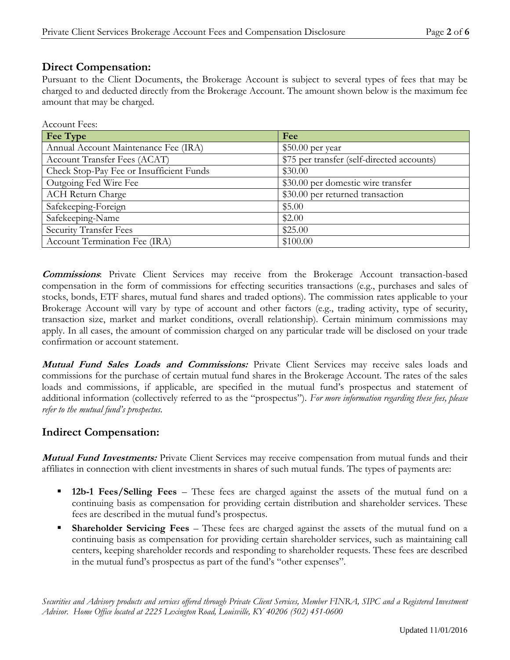#### **Direct Compensation:**

Pursuant to the Client Documents, the Brokerage Account is subject to several types of fees that may be charged to and deducted directly from the Brokerage Account. The amount shown below is the maximum fee amount that may be charged.

| Account Fees:                            |                                            |
|------------------------------------------|--------------------------------------------|
| <b>Fee Type</b>                          | Fee                                        |
| Annual Account Maintenance Fee (IRA)     | $$50.00$ per year                          |
| Account Transfer Fees (ACAT)             | \$75 per transfer (self-directed accounts) |
| Check Stop-Pay Fee or Insufficient Funds | \$30.00                                    |
| Outgoing Fed Wire Fee                    | \$30.00 per domestic wire transfer         |
| <b>ACH Return Charge</b>                 | \$30.00 per returned transaction           |
| Safekeeping-Foreign                      | \$5.00                                     |
| Safekeeping-Name                         | \$2.00                                     |
| Security Transfer Fees                   | \$25.00                                    |
| Account Termination Fee (IRA)            | \$100.00                                   |

**Commissions**: Private Client Services may receive from the Brokerage Account transaction-based compensation in the form of commissions for effecting securities transactions (e.g., purchases and sales of stocks, bonds, ETF shares, mutual fund shares and traded options). The commission rates applicable to your Brokerage Account will vary by type of account and other factors (e.g., trading activity, type of security, transaction size, market and market conditions, overall relationship). Certain minimum commissions may apply. In all cases, the amount of commission charged on any particular trade will be disclosed on your trade confirmation or account statement.

**Mutual Fund Sales Loads and Commissions:** Private Client Services may receive sales loads and commissions for the purchase of certain mutual fund shares in the Brokerage Account. The rates of the sales loads and commissions, if applicable, are specified in the mutual fund's prospectus and statement of additional information (collectively referred to as the "prospectus"). *For more information regarding these fees, please refer to the mutual fund's prospectus.* 

## **Indirect Compensation:**

**Mutual Fund Investments:** Private Client Services may receive compensation from mutual funds and their affiliates in connection with client investments in shares of such mutual funds. The types of payments are:

- **12b-1 Fees/Selling Fees**  These fees are charged against the assets of the mutual fund on a continuing basis as compensation for providing certain distribution and shareholder services. These fees are described in the mutual fund's prospectus.
- **Shareholder Servicing Fees**  These fees are charged against the assets of the mutual fund on a continuing basis as compensation for providing certain shareholder services, such as maintaining call centers, keeping shareholder records and responding to shareholder requests. These fees are described in the mutual fund's prospectus as part of the fund's "other expenses".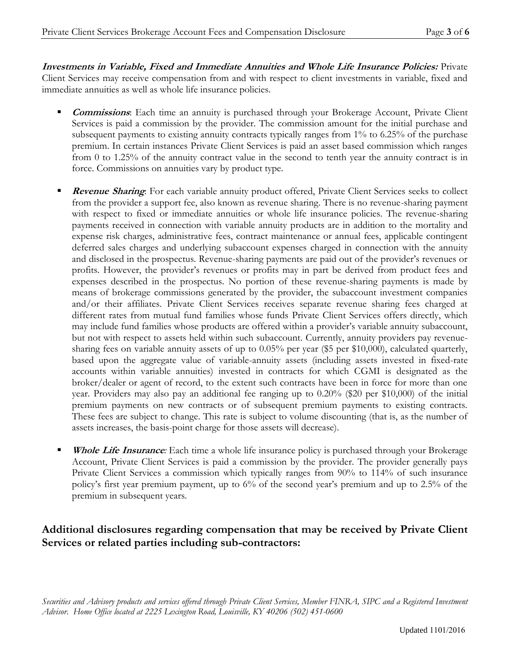**Investments in Variable, Fixed and Immediate Annuities and Whole Life Insurance Policies:** Private Client Services may receive compensation from and with respect to client investments in variable, fixed and immediate annuities as well as whole life insurance policies.

- **Commissions**: Each time an annuity is purchased through your Brokerage Account, Private Client Services is paid a commission by the provider. The commission amount for the initial purchase and subsequent payments to existing annuity contracts typically ranges from 1% to 6.25% of the purchase premium. In certain instances Private Client Services is paid an asset based commission which ranges from 0 to 1.25% of the annuity contract value in the second to tenth year the annuity contract is in force. Commissions on annuities vary by product type.
- **Revenue Sharing**: For each variable annuity product offered, Private Client Services seeks to collect from the provider a support fee, also known as revenue sharing. There is no revenue-sharing payment with respect to fixed or immediate annuities or whole life insurance policies. The revenue-sharing payments received in connection with variable annuity products are in addition to the mortality and expense risk charges, administrative fees, contract maintenance or annual fees, applicable contingent deferred sales charges and underlying subaccount expenses charged in connection with the annuity and disclosed in the prospectus. Revenue-sharing payments are paid out of the provider's revenues or profits. However, the provider's revenues or profits may in part be derived from product fees and expenses described in the prospectus. No portion of these revenue-sharing payments is made by means of brokerage commissions generated by the provider, the subaccount investment companies and/or their affiliates. Private Client Services receives separate revenue sharing fees charged at different rates from mutual fund families whose funds Private Client Services offers directly, which may include fund families whose products are offered within a provider's variable annuity subaccount, but not with respect to assets held within such subaccount. Currently, annuity providers pay revenuesharing fees on variable annuity assets of up to 0.05% per year (\$5 per \$10,000), calculated quarterly, based upon the aggregate value of variable-annuity assets (including assets invested in fixed-rate accounts within variable annuities) invested in contracts for which CGMI is designated as the broker/dealer or agent of record, to the extent such contracts have been in force for more than one year. Providers may also pay an additional fee ranging up to 0.20% (\$20 per \$10,000) of the initial premium payments on new contracts or of subsequent premium payments to existing contracts. These fees are subject to change. This rate is subject to volume discounting (that is, as the number of assets increases, the basis-point charge for those assets will decrease).
- **Whole Life Insurance***:* Each time a whole life insurance policy is purchased through your Brokerage Account, Private Client Services is paid a commission by the provider. The provider generally pays Private Client Services a commission which typically ranges from 90% to 114% of such insurance policy's first year premium payment, up to 6% of the second year's premium and up to 2.5% of the premium in subsequent years.

## **Additional disclosures regarding compensation that may be received by Private Client Services or related parties including sub-contractors:**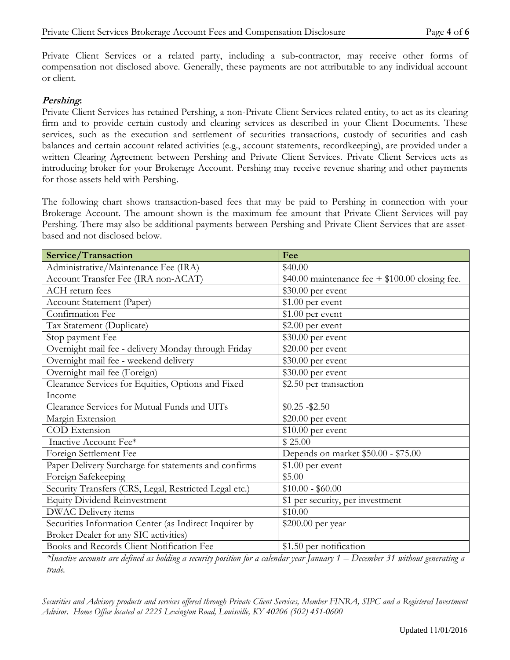Private Client Services or a related party, including a sub-contractor, may receive other forms of compensation not disclosed above. Generally, these payments are not attributable to any individual account or client.

#### **Pershing:**

Private Client Services has retained Pershing, a non-Private Client Services related entity, to act as its clearing firm and to provide certain custody and clearing services as described in your Client Documents. These services, such as the execution and settlement of securities transactions, custody of securities and cash balances and certain account related activities (e.g., account statements, recordkeeping), are provided under a written Clearing Agreement between Pershing and Private Client Services. Private Client Services acts as introducing broker for your Brokerage Account. Pershing may receive revenue sharing and other payments for those assets held with Pershing.

The following chart shows transaction-based fees that may be paid to Pershing in connection with your Brokerage Account. The amount shown is the maximum fee amount that Private Client Services will pay Pershing. There may also be additional payments between Pershing and Private Client Services that are assetbased and not disclosed below.

| <b>Service/Transaction</b>                             | Fee                                               |
|--------------------------------------------------------|---------------------------------------------------|
| Administrative/Maintenance Fee (IRA)                   | \$40.00                                           |
| Account Transfer Fee (IRA non-ACAT)                    | $$40.00$ maintenance fee + $$100.00$ closing fee. |
| ACH return fees                                        | \$30.00 per event                                 |
| <b>Account Statement (Paper)</b>                       | $$1.00$ per event                                 |
| Confirmation Fee                                       | $$1.00$ per event                                 |
| Tax Statement (Duplicate)                              | $$2.00$ per event                                 |
| Stop payment Fee                                       | \$30.00 per event                                 |
| Overnight mail fee - delivery Monday through Friday    | $$20.00$ per event                                |
| Overnight mail fee - weekend delivery                  | \$30.00 per event                                 |
| Overnight mail fee (Foreign)                           | \$30.00 per event                                 |
| Clearance Services for Equities, Options and Fixed     | \$2.50 per transaction                            |
| Income                                                 |                                                   |
| Clearance Services for Mutual Funds and UITs           | $$0.25 - $2.50$                                   |
| Margin Extension                                       | $$20.00$ per event                                |
| COD Extension                                          | $$10.00$ per event                                |
| Inactive Account Fee*                                  | \$25.00                                           |
| Foreign Settlement Fee                                 | Depends on market \$50.00 - \$75.00               |
| Paper Delivery Surcharge for statements and confirms   | $$1.00$ per event                                 |
| Foreign Safekeeping                                    | \$5.00                                            |
| Security Transfers (CRS, Legal, Restricted Legal etc.) | $$10.00 - $60.00$                                 |
| <b>Equity Dividend Reinvestment</b>                    | \$1 per security, per investment                  |
| DWAC Delivery items                                    | \$10.00                                           |
| Securities Information Center (as Indirect Inquirer by | \$200.00 per year                                 |
| Broker Dealer for any SIC activities)                  |                                                   |
| Books and Records Client Notification Fee              | \$1.50 per notification                           |

*\*Inactive accounts are defined as holding a security position for a calendar year January 1 – December 31 without generating a trade.*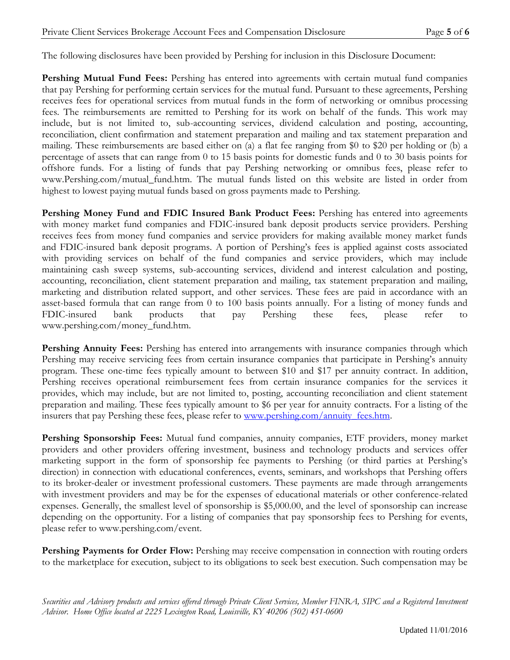The following disclosures have been provided by Pershing for inclusion in this Disclosure Document:

**Pershing Mutual Fund Fees:** Pershing has entered into agreements with certain mutual fund companies that pay Pershing for performing certain services for the mutual fund. Pursuant to these agreements, Pershing receives fees for operational services from mutual funds in the form of networking or omnibus processing fees. The reimbursements are remitted to Pershing for its work on behalf of the funds. This work may include, but is not limited to, sub-accounting services, dividend calculation and posting, accounting, reconciliation, client confirmation and statement preparation and mailing and tax statement preparation and mailing. These reimbursements are based either on (a) a flat fee ranging from \$0 to \$20 per holding or (b) a percentage of assets that can range from 0 to 15 basis points for domestic funds and 0 to 30 basis points for offshore funds. For a listing of funds that pay Pershing networking or omnibus fees, please refer to www.Pershing.com/mutual\_fund.htm. The mutual funds listed on this website are listed in order from highest to lowest paying mutual funds based on gross payments made to Pershing.

**Pershing Money Fund and FDIC Insured Bank Product Fees:** Pershing has entered into agreements with money market fund companies and FDIC-insured bank deposit products service providers. Pershing receives fees from money fund companies and service providers for making available money market funds and FDIC-insured bank deposit programs. A portion of Pershing's fees is applied against costs associated with providing services on behalf of the fund companies and service providers, which may include maintaining cash sweep systems, sub-accounting services, dividend and interest calculation and posting, accounting, reconciliation, client statement preparation and mailing, tax statement preparation and mailing, marketing and distribution related support, and other services. These fees are paid in accordance with an asset-based formula that can range from 0 to 100 basis points annually. For a listing of money funds and FDIC-insured bank products that pay Pershing these fees, please refer to www.pershing.com/money\_fund.htm.

**Pershing Annuity Fees:** Pershing has entered into arrangements with insurance companies through which Pershing may receive servicing fees from certain insurance companies that participate in Pershing's annuity program. These one-time fees typically amount to between \$10 and \$17 per annuity contract. In addition, Pershing receives operational reimbursement fees from certain insurance companies for the services it provides, which may include, but are not limited to, posting, accounting reconciliation and client statement preparation and mailing. These fees typically amount to \$6 per year for annuity contracts. For a listing of the insurers that pay Pershing these fees, please refer to [www.pershing.com/annuity\\_fees.htm.](http://www.pershing.com/annuity_fees.htm)

**Pershing Sponsorship Fees:** Mutual fund companies, annuity companies, ETF providers, money market providers and other providers offering investment, business and technology products and services offer marketing support in the form of sponsorship fee payments to Pershing (or third parties at Pershing's direction) in connection with educational conferences, events, seminars, and workshops that Pershing offers to its broker-dealer or investment professional customers. These payments are made through arrangements with investment providers and may be for the expenses of educational materials or other conference-related expenses. Generally, the smallest level of sponsorship is \$5,000.00, and the level of sponsorship can increase depending on the opportunity. For a listing of companies that pay sponsorship fees to Pershing for events, please refer to www.pershing.com/event.

**Pershing Payments for Order Flow:** Pershing may receive compensation in connection with routing orders to the marketplace for execution, subject to its obligations to seek best execution. Such compensation may be